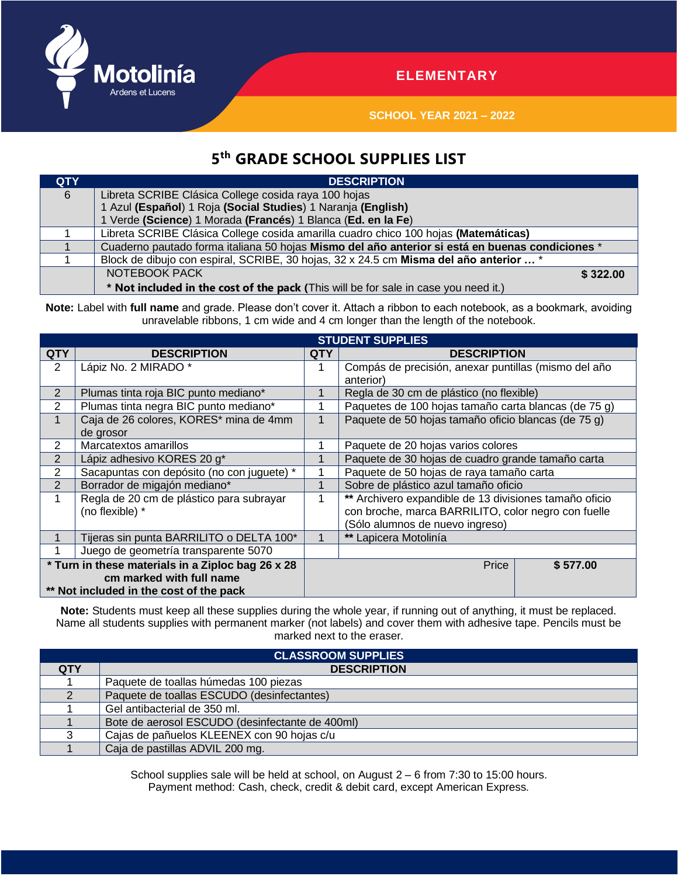

## **ELEMENTARY**

**SCHOOL YEAR 2021 – 2022**

## **5 th GRADE SCHOOL SUPPLIES LIST**

| <b>QTY</b> | <b>DESCRIPTION</b>                                                                              |  |  |  |  |  |
|------------|-------------------------------------------------------------------------------------------------|--|--|--|--|--|
| 6          | Libreta SCRIBE Clásica College cosida raya 100 hojas                                            |  |  |  |  |  |
|            | 1 Azul (Español) 1 Roja (Social Studies) 1 Naranja (English)                                    |  |  |  |  |  |
|            | 1 Verde (Science) 1 Morada (Francés) 1 Blanca (Ed. en la Fe)                                    |  |  |  |  |  |
|            | Libreta SCRIBE Clásica College cosida amarilla cuadro chico 100 hojas (Matemáticas)             |  |  |  |  |  |
|            | Cuaderno pautado forma italiana 50 hojas Mismo del año anterior si está en buenas condiciones * |  |  |  |  |  |
|            | Block de dibujo con espiral, SCRIBE, 30 hojas, 32 x 24.5 cm Misma del año anterior  *           |  |  |  |  |  |
|            | NOTEBOOK PACK<br>\$322.00                                                                       |  |  |  |  |  |
|            | * Not included in the cost of the pack (This will be for sale in case you need it.)             |  |  |  |  |  |

Note: Label with full name and grade. Please don't cover it. Attach a ribbon to each notebook, as a bookmark, avoiding unravelable ribbons, 1 cm wide and 4 cm longer than the length of the notebook.

|                                                   | <b>STUDENT SUPPLIES</b>                    |            |                                                        |  |  |  |  |  |
|---------------------------------------------------|--------------------------------------------|------------|--------------------------------------------------------|--|--|--|--|--|
| <b>QTY</b>                                        | <b>DESCRIPTION</b>                         | <b>QTY</b> | <b>DESCRIPTION</b>                                     |  |  |  |  |  |
| $\overline{2}$                                    | Lápiz No. 2 MIRADO *                       |            | Compás de precisión, anexar puntillas (mismo del año   |  |  |  |  |  |
|                                                   |                                            |            | anterior)                                              |  |  |  |  |  |
| 2                                                 | Plumas tinta roja BIC punto mediano*       |            | Regla de 30 cm de plástico (no flexible)               |  |  |  |  |  |
| 2                                                 | Plumas tinta negra BIC punto mediano*      |            | Paquetes de 100 hojas tamaño carta blancas (de 75 g)   |  |  |  |  |  |
|                                                   | Caja de 26 colores, KORES* mina de 4mm     |            | Paquete de 50 hojas tamaño oficio blancas (de 75 g)    |  |  |  |  |  |
|                                                   | de grosor                                  |            |                                                        |  |  |  |  |  |
| 2                                                 | Marcatextos amarillos                      |            | Paquete de 20 hojas varios colores                     |  |  |  |  |  |
| $\overline{2}$                                    | Lápiz adhesivo KORES 20 g*                 |            | Paquete de 30 hojas de cuadro grande tamaño carta      |  |  |  |  |  |
| $\overline{2}$                                    | Sacapuntas con depósito (no con juguete) * |            | Paquete de 50 hojas de raya tamaño carta               |  |  |  |  |  |
| $\overline{2}$                                    | Borrador de migajón mediano*               |            | Sobre de plástico azul tamaño oficio                   |  |  |  |  |  |
|                                                   | Regla de 20 cm de plástico para subrayar   |            | ** Archivero expandible de 13 divisiones tamaño oficio |  |  |  |  |  |
|                                                   | (no flexible) *                            |            | con broche, marca BARRILITO, color negro con fuelle    |  |  |  |  |  |
|                                                   |                                            |            | (Sólo alumnos de nuevo ingreso)                        |  |  |  |  |  |
|                                                   | Tijeras sin punta BARRILITO o DELTA 100*   |            | ** Lapicera Motolinía                                  |  |  |  |  |  |
|                                                   | Juego de geometría transparente 5070       |            |                                                        |  |  |  |  |  |
| * Turn in these materials in a Ziploc bag 26 x 28 |                                            |            | Price<br>\$577.00                                      |  |  |  |  |  |
| cm marked with full name                          |                                            |            |                                                        |  |  |  |  |  |
| ** Not included in the cost of the pack           |                                            |            |                                                        |  |  |  |  |  |

**Note:** Students must keep all these supplies during the whole year, if running out of anything, it must be replaced. Name all students supplies with permanent marker (not labels) and cover them with adhesive tape. Pencils must be marked next to the eraser.

| <b>CLASSROOM SUPPLIES</b> |                                                 |  |  |  |  |  |
|---------------------------|-------------------------------------------------|--|--|--|--|--|
| <b>QTY</b>                | <b>DESCRIPTION</b>                              |  |  |  |  |  |
|                           | Paquete de toallas húmedas 100 piezas           |  |  |  |  |  |
|                           | Paquete de toallas ESCUDO (desinfectantes)      |  |  |  |  |  |
|                           | Gel antibacterial de 350 ml.                    |  |  |  |  |  |
|                           | Bote de aerosol ESCUDO (desinfectante de 400ml) |  |  |  |  |  |
|                           | Cajas de pañuelos KLEENEX con 90 hojas c/u      |  |  |  |  |  |
|                           | Caja de pastillas ADVIL 200 mg.                 |  |  |  |  |  |

School supplies sale will be held at school, on August 2 – 6 from 7:30 to 15:00 hours. Payment method: Cash, check, credit & debit card, except American Express.